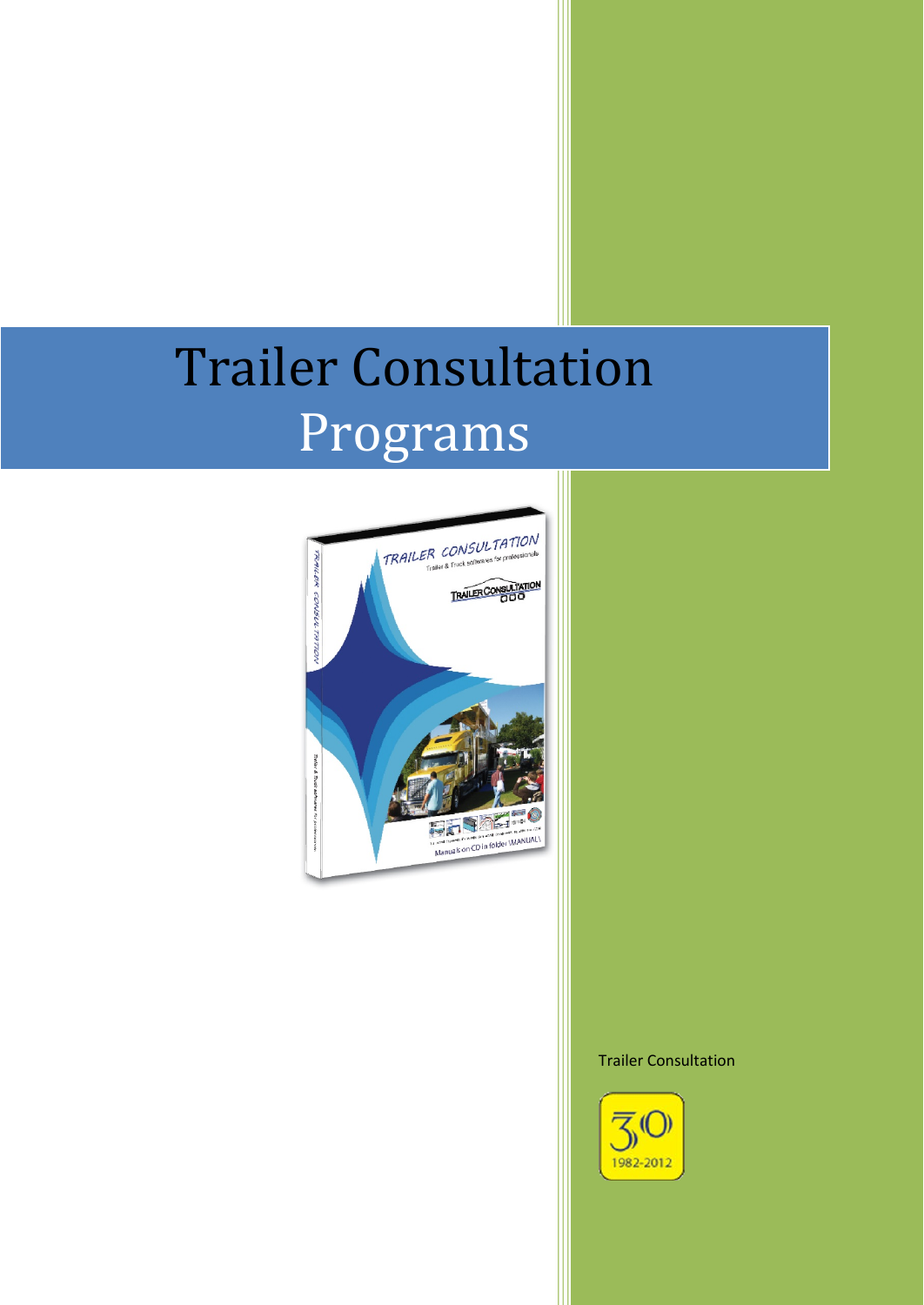# Trailer Consultation Programs



#### Trailer Consultation

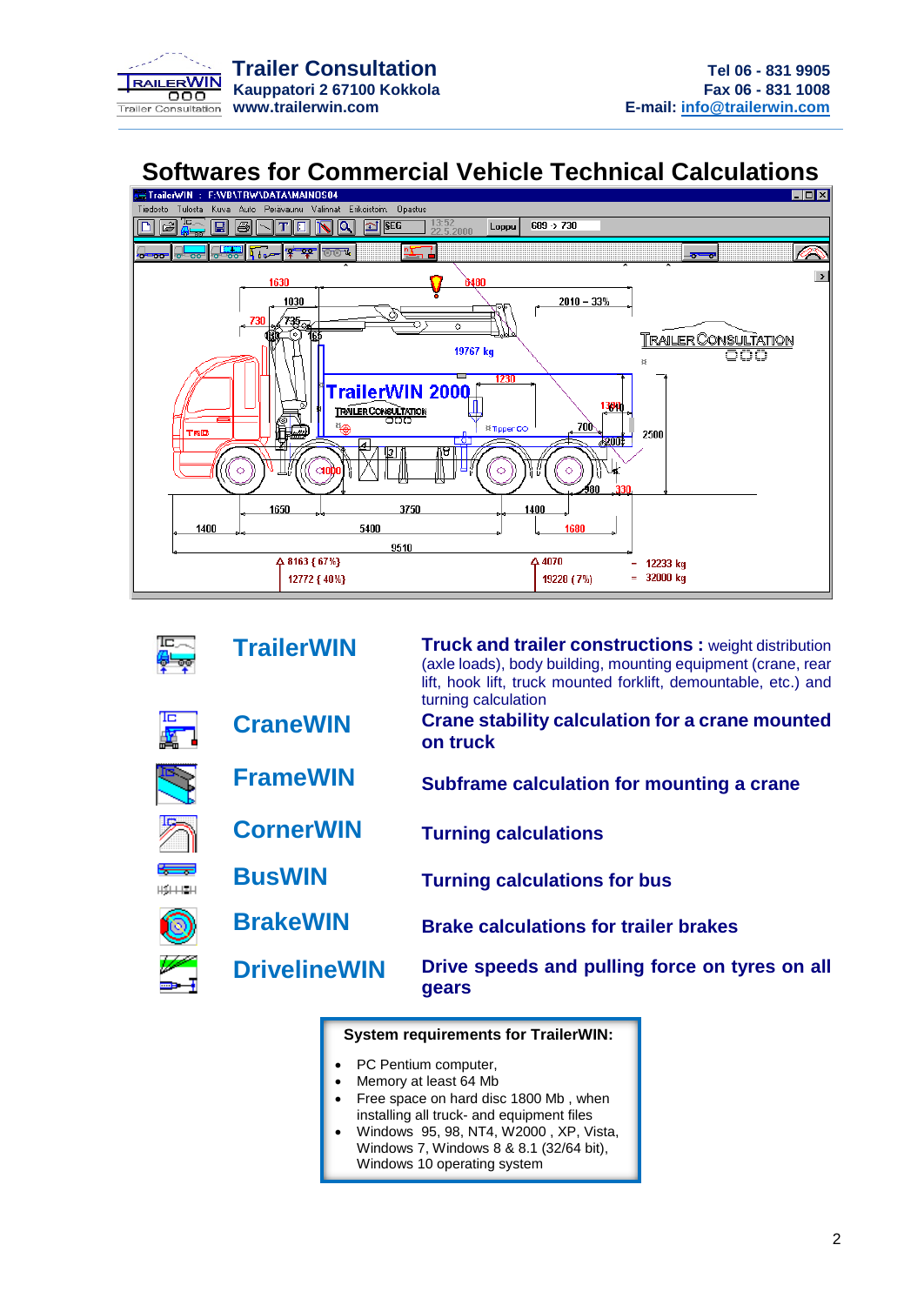

## **Softwares for Commercial Vehicle Technical Calculations**



|                | <b>TrailerWIN</b>   | <b>Truck and trailer constructions : weight distribution</b><br>(axle loads), body building, mounting equipment (crane, rear<br>lift, hook lift, truck mounted forklift, demountable, etc.) and<br>turning calculation |
|----------------|---------------------|------------------------------------------------------------------------------------------------------------------------------------------------------------------------------------------------------------------------|
|                | <b>CraneWIN</b>     | <b>Crane stability calculation for a crane mounted</b><br>on truck                                                                                                                                                     |
|                | <b>FrameWIN</b>     | Subframe calculation for mounting a crane                                                                                                                                                                              |
|                | <b>CornerWIN</b>    | <b>Turning calculations</b>                                                                                                                                                                                            |
| $H_2H_1H_2H_3$ | <b>BusWIN</b>       | <b>Turning calculations for bus</b>                                                                                                                                                                                    |
|                | <b>BrakeWIN</b>     | <b>Brake calculations for trailer brakes</b>                                                                                                                                                                           |
|                | <b>DrivelineWIN</b> | Drive speeds and pulling force on tyres on all<br>gears                                                                                                                                                                |

#### **System requirements for TrailerWIN:**

- PC Pentium computer,
- Memory at least 64 Mb
- Free space on hard disc 1800 Mb , when installing all truck- and equipment files
- Windows 95, 98, NT4, W2000 , XP, Vista, Windows 7, Windows 8 & 8.1 (32/64 bit), Windows 10 operating system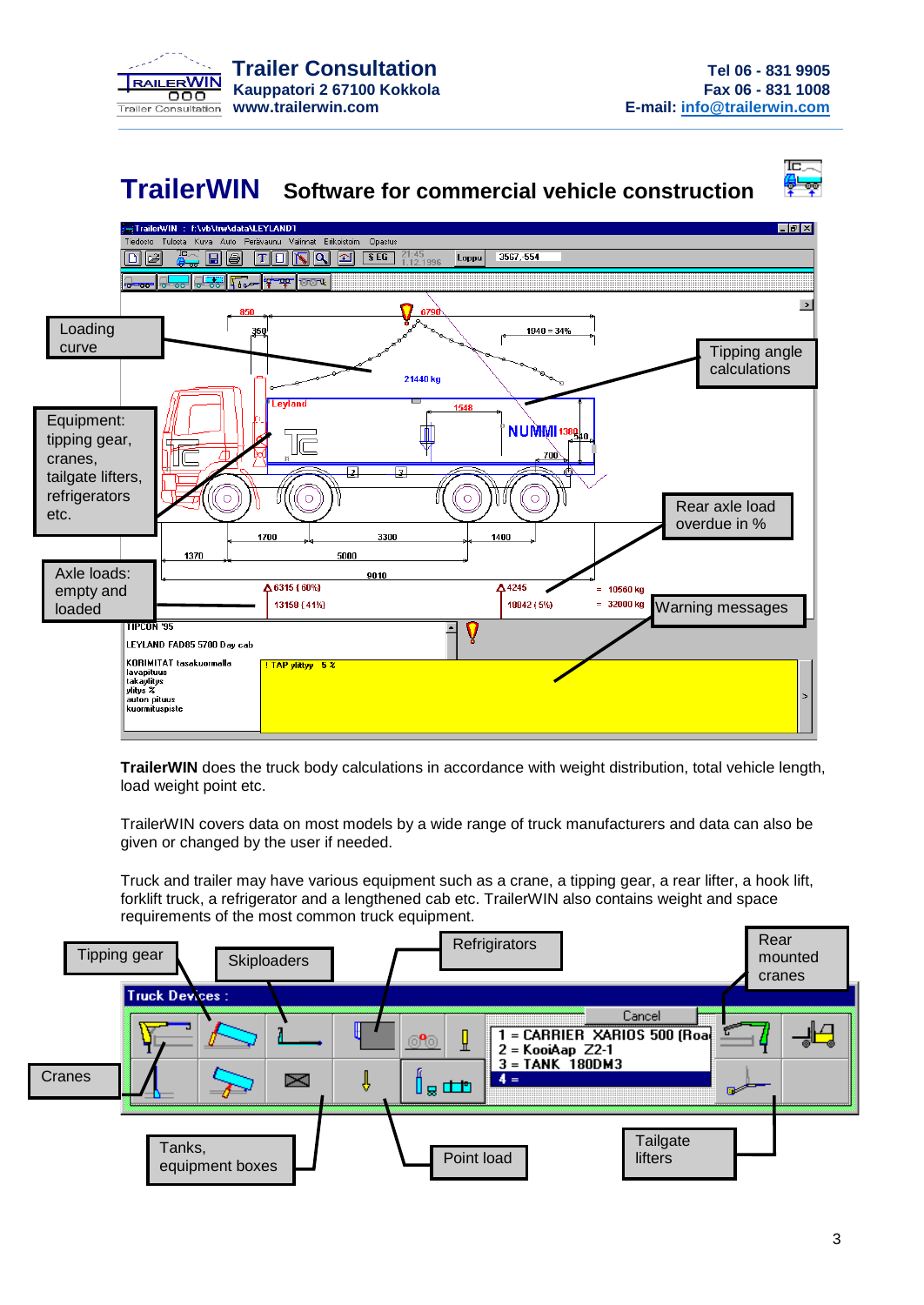

Έ

### **TrailerWIN Software for commercial vehicle construction**



**TrailerWIN** does the truck body calculations in accordance with weight distribution, total vehicle length, load weight point etc.

TrailerWIN covers data on most models by a wide range of truck manufacturers and data can also be given or changed by the user if needed.

Truck and trailer may have various equipment such as a crane, a tipping gear, a rear lifter, a hook lift, forklift truck, a refrigerator and a lengthened cab etc. TrailerWIN also contains weight and space requirements of the most common truck equipment.

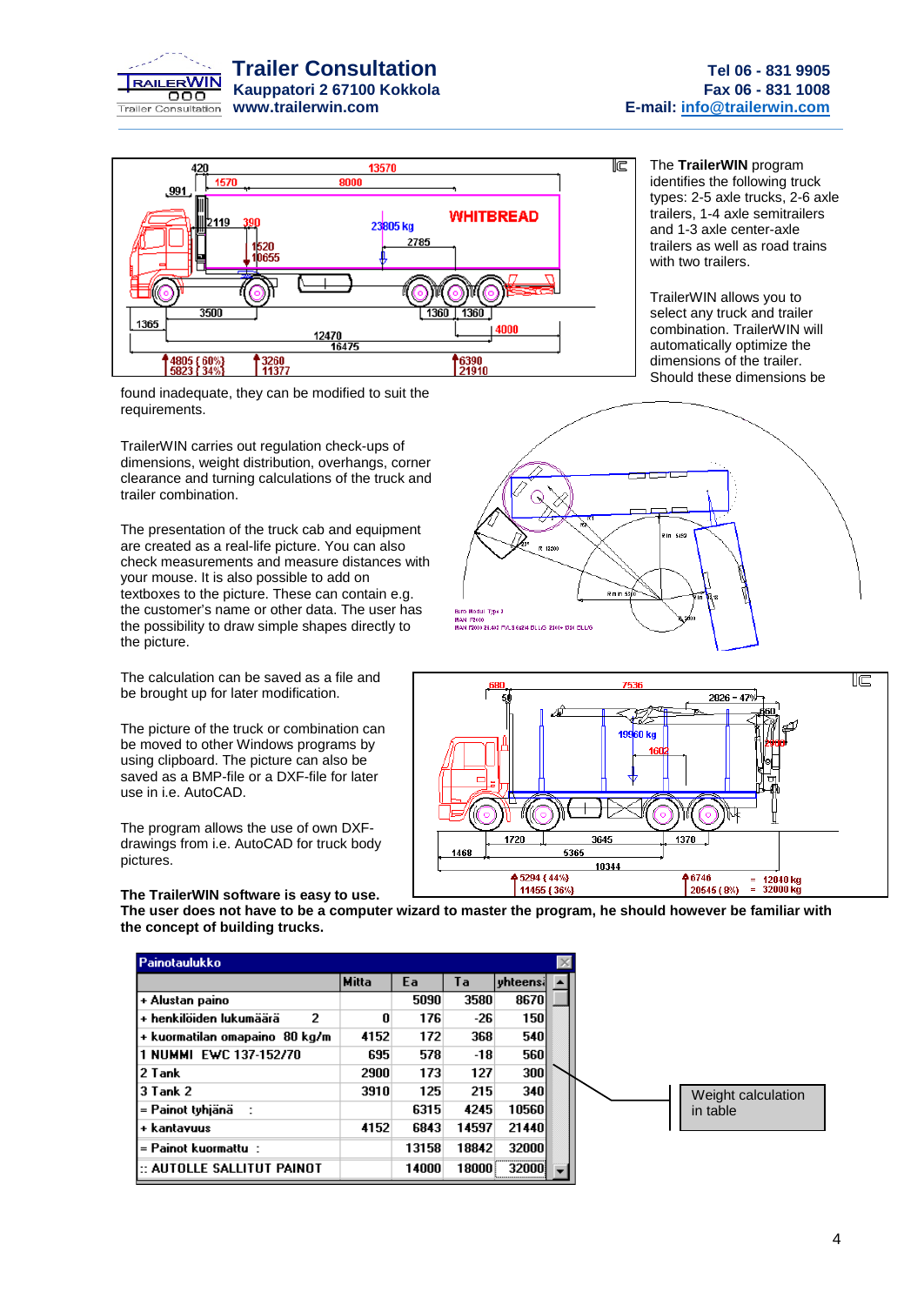



The **TrailerWIN** program identifies the following truck types: 2-5 axle trucks, 2-6 axle trailers, 1-4 axle semitrailers and 1-3 axle center-axle trailers as well as road trains with two trailers.

TrailerWIN allows you to select any truck and trailer combination. TrailerWIN will automatically optimize the dimensions of the trailer. Should these dimensions be

found inadequate, they can be modified to suit the requirements.

TrailerWIN carries out regulation check-ups of dimensions, weight distribution, overhangs, corner clearance and turning calculations of the truck and trailer combination.

The presentation of the truck cab and equipment are created as a real-life picture. You can also check measurements and measure distances with your mouse. It is also possible to add on textboxes to the picture. These can contain e.g. the customer's name or other data. The user has the possibility to draw simple shapes directly to the picture.

The calculation can be saved as a file and be brought up for later modification.

The picture of the truck or combination can be moved to other Windows programs by using clipboard. The picture can also be saved as a BMP-file or a DXF-file for later use in i.e. AutoCAD.

The program allows the use of own DXFdrawings from i.e. AutoCAD for truck body pictures.

#### **The TrailerWIN software is easy to use.**

**The user does not have to be a computer wizard to master the program, he should however be familiar with the concept of building trucks.**

| Painotaulukko                   |       |       |       |            |                    |
|---------------------------------|-------|-------|-------|------------|--------------------|
|                                 | Mitta | Ea    | Ta    | vhteensi   |                    |
| + Alustan paino                 |       | 5090  | 3580  | 8670       |                    |
| + henkilöiden lukumäärä<br>2    | 0     | 176   | -26   | 150        |                    |
| + kuormatilan omapaino  80 kg/m | 4152  | 172   | 368   | <b>540</b> |                    |
| 11 NUMMI EWC 137-152/70         | 695   | 578   | -18   | <b>560</b> |                    |
| l 2 Tank                        | 2900  | 173   | 127   | <b>300</b> |                    |
| l3 Tank 2                       | 3910  | 125   | 215   | <b>340</b> | Weight calculation |
| l= Painot tyhjänä               |       | 6315  | 4245  | 10560      | in table           |
| + kantavuus                     | 4152  | 6843  | 14597 | 21440      |                    |
| = Painot kuormattu  :           |       | 13158 | 18842 | 32000      |                    |
| i:: AUTOLLE SALLITUT PAINOT     |       | 14000 | 18000 | 320001     |                    |



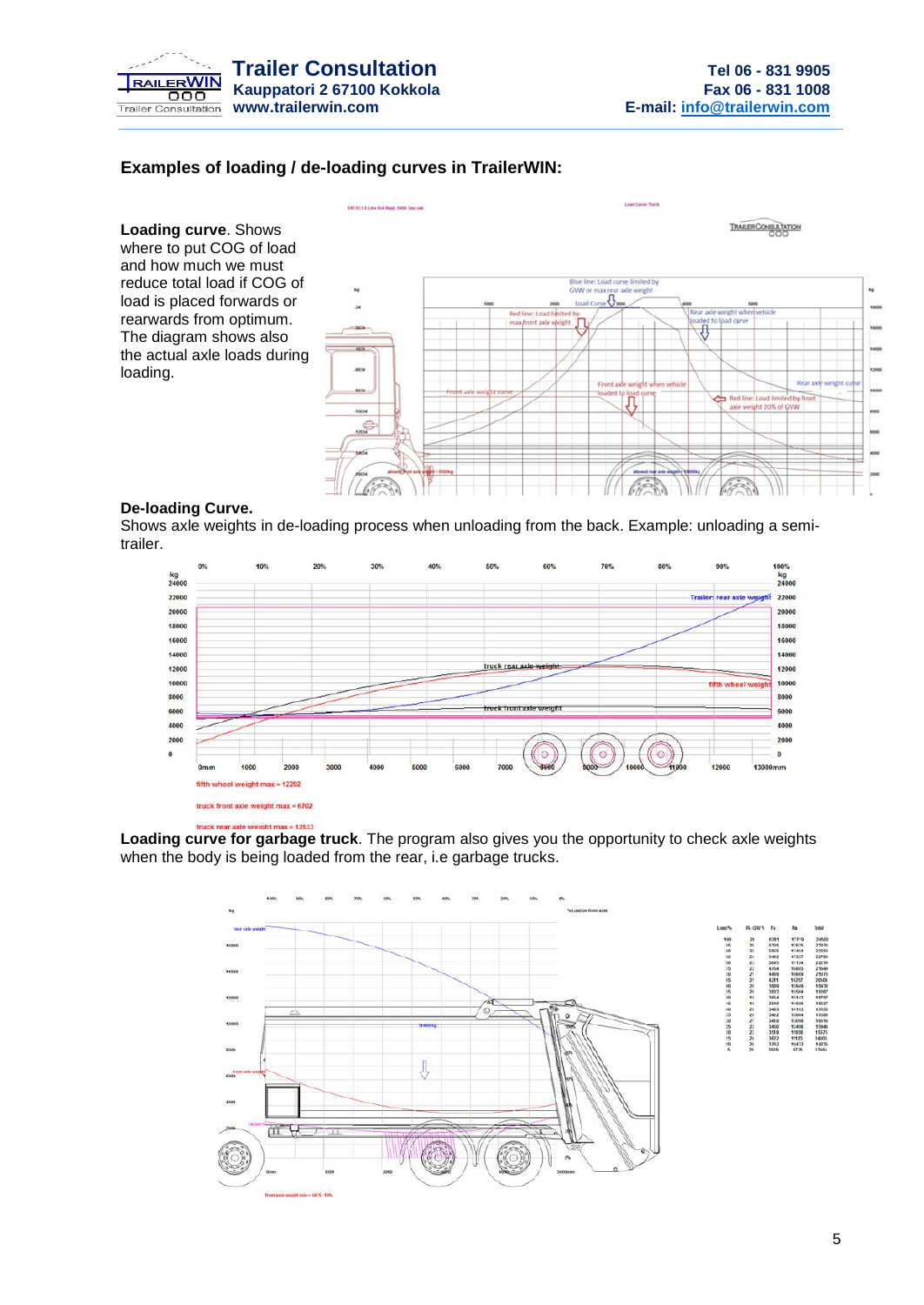

#### **Examples of loading / de-loading curves in TrailerWIN:**

EMERCY & Line for New Arts Day call

**Loading curve**. Shows where to put COG of load and how much we must reduce total load if COG of load is placed forwards or rearwards from optimum. The diagram shows also the actual axle loads during loading.



#### **De-loading Curve.**

Shows axle weights in de-loading process when unloading from the back. Example: unloading a semitrailer.



#### truck rear axle weight max = 12533

**Loading curve for garbage truck**. The program also gives you the opportunity to check axle weights when the body is being loaded from the rear, i.e garbage trucks.



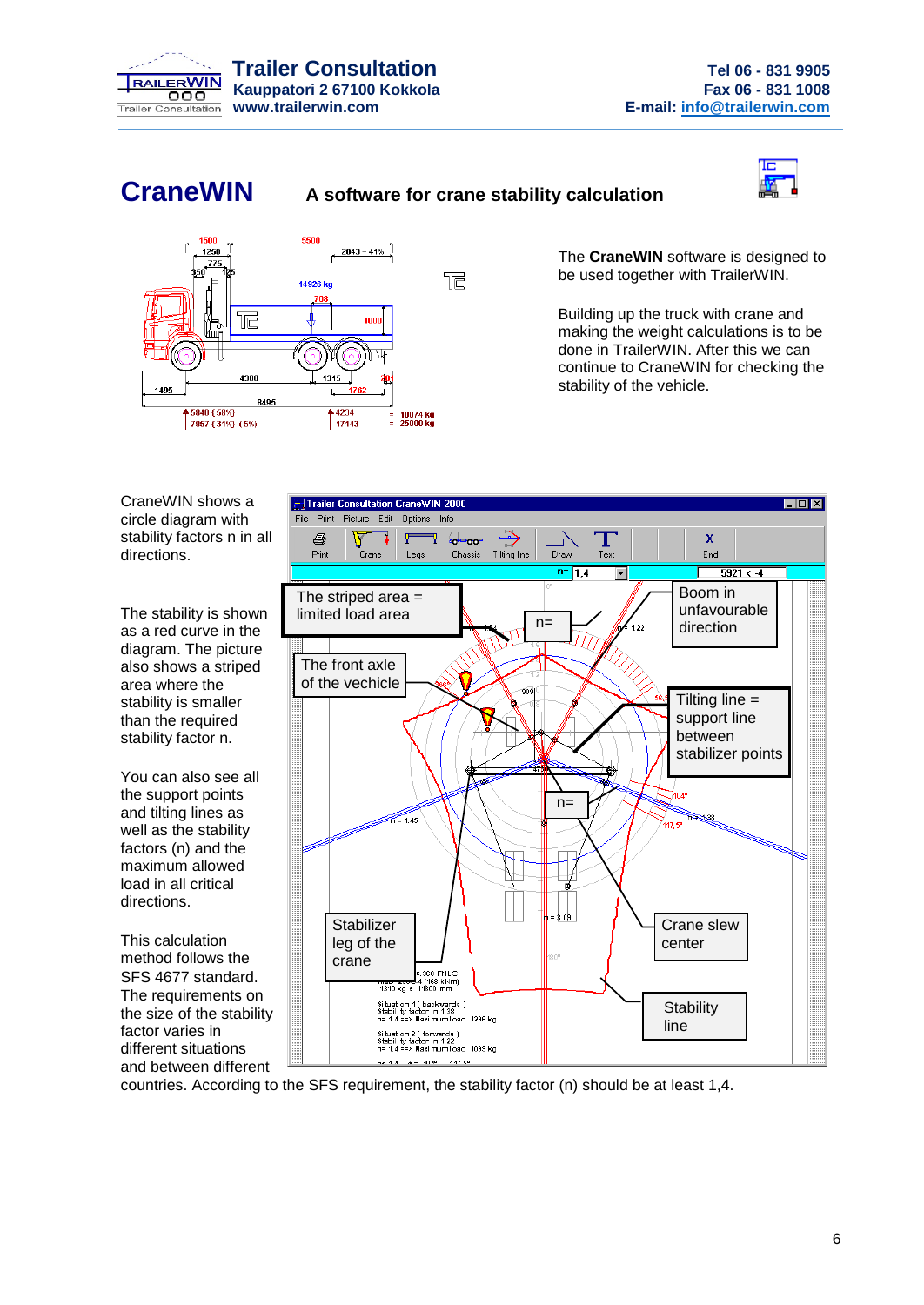

### **CraneWIN A software for crane stability calculation**





The **CraneWIN** software is designed to be used together with TrailerWIN.

Building up the truck with crane and making the weight calculations is to be done in TrailerWIN. After this we can continue to CraneWIN for checking the stability of the vehicle.

CraneWIN shows a circle diagram with stability factors n in all directions.

The stability is shown as a red curve in the diagram. The picture also shows a striped area where the stability is smaller than the required stability factor n.

You can also see all the support points and tilting lines as well as the stability factors (n) and the maximum allowed load in all critical directions.

This calculation method follows the SFS 4677 standard. The requirements on the size of the stability factor varies in different situations and between different



countries. According to the SFS requirement, the stability factor (n) should be at least 1,4.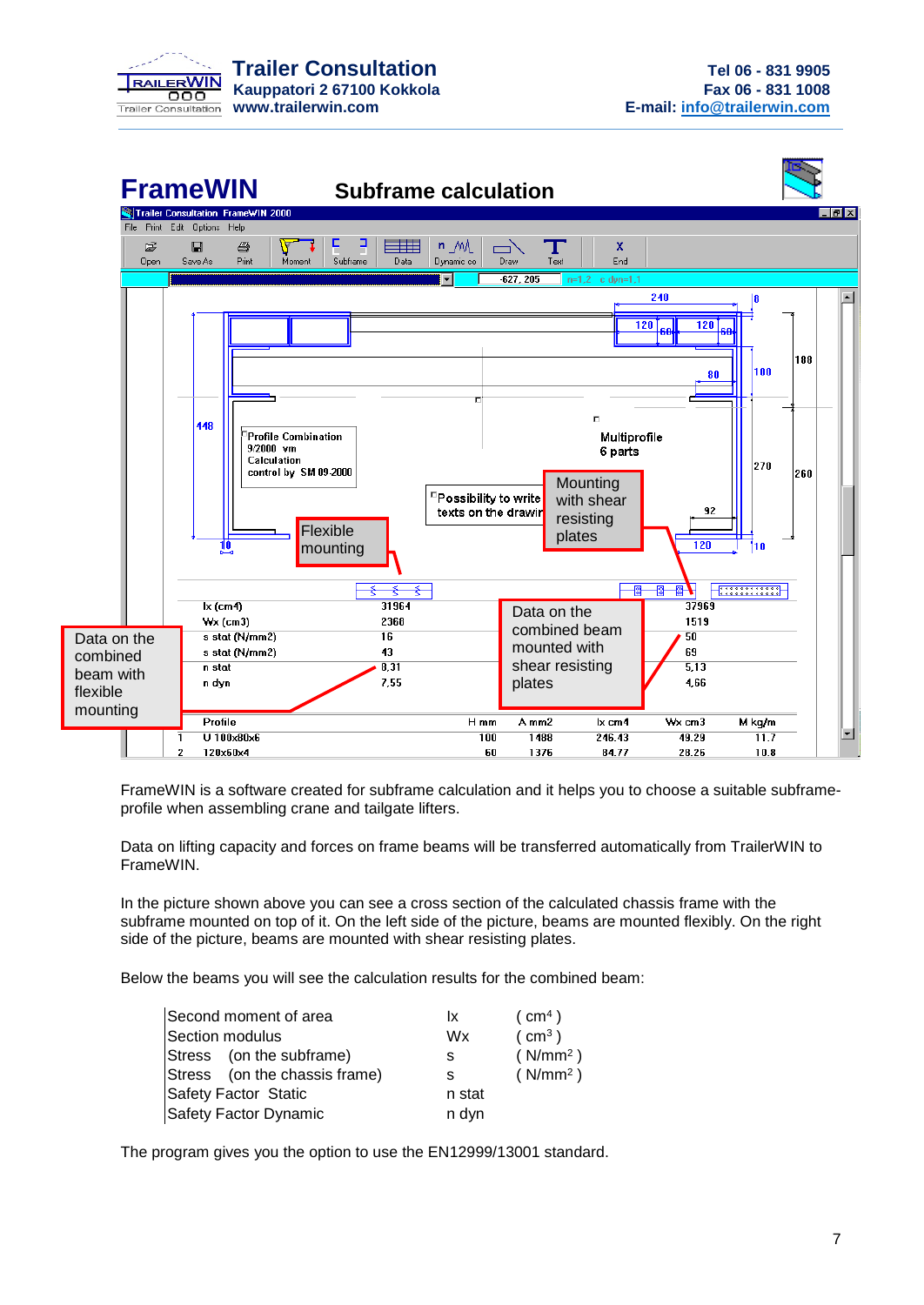



FrameWIN is a software created for subframe calculation and it helps you to choose a suitable subframeprofile when assembling crane and tailgate lifters.

Data on lifting capacity and forces on frame beams will be transferred automatically from TrailerWIN to FrameWIN.

In the picture shown above you can see a cross section of the calculated chassis frame with the subframe mounted on top of it. On the left side of the picture, beams are mounted flexibly. On the right side of the picture, beams are mounted with shear resisting plates.

Below the beams you will see the calculation results for the combined beam:

| Second moment of area         | Ιx.    | (m <sup>4</sup> )    |
|-------------------------------|--------|----------------------|
| Section modulus               | Wx     | (m <sup>3</sup> )    |
| Stress (on the subframe)      | s      | (N/mm <sup>2</sup> ) |
| Stress (on the chassis frame) | s      | (N/mm <sup>2</sup> ) |
| <b>Safety Factor Static</b>   | n stat |                      |
| Safety Factor Dynamic         | n dyn  |                      |

The program gives you the option to use the EN12999/13001 standard.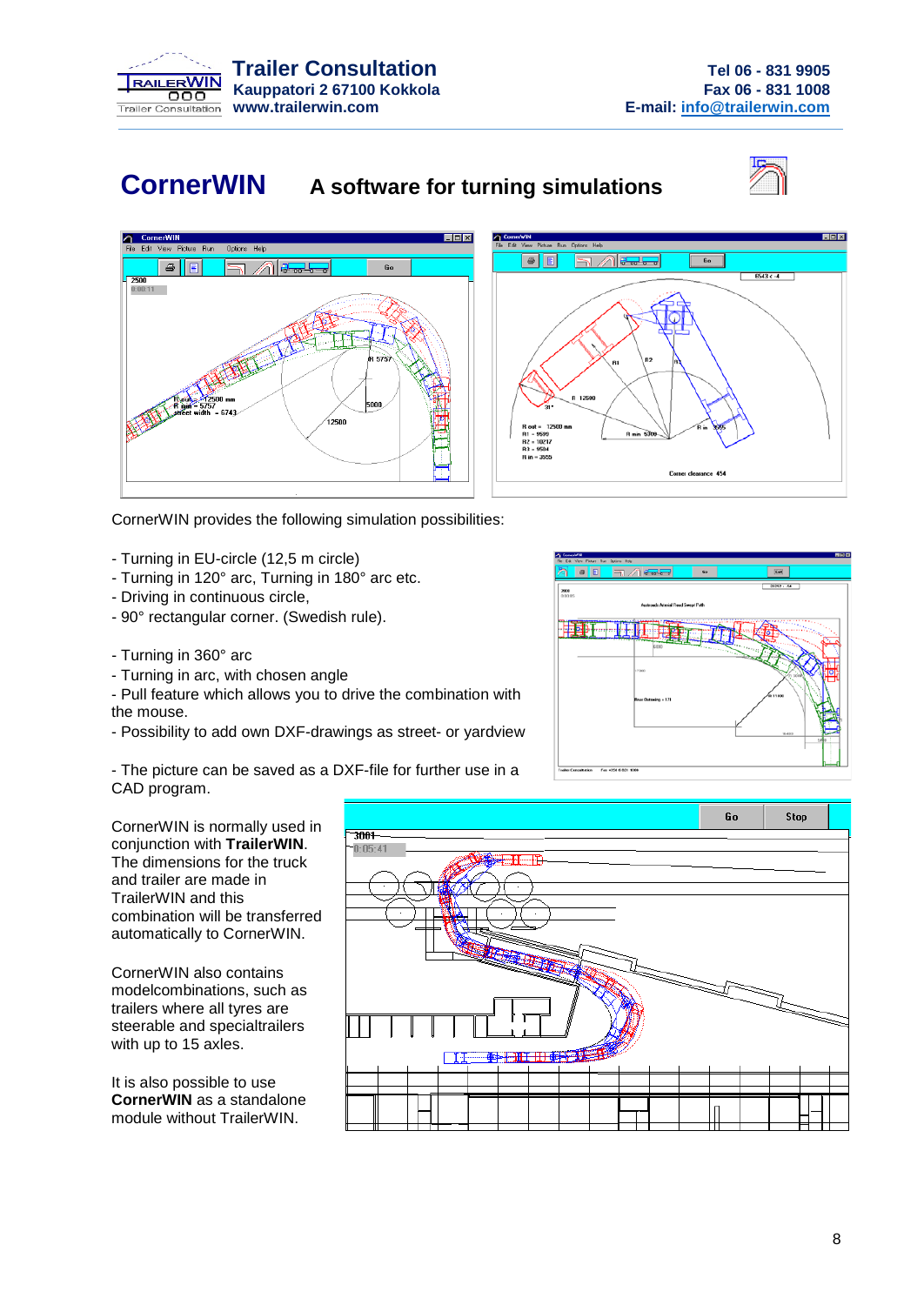

### **CornerWIN A software for turning simulations**







CornerWIN provides the following simulation possibilities:

- Turning in EU-circle (12,5 m circle)
- Turning in 120° arc, Turning in 180° arc etc.
- Driving in continuous circle,
- 90° rectangular corner. (Swedish rule).
- Turning in 360° arc
- Turning in arc, with chosen angle
- Pull feature which allows you to drive the combination with the mouse.
- Possibility to add own DXF-drawings as street- or yardview

- The picture can be saved as a DXF-file for further use in a CAD program.



CornerWIN is normally used in conjunction with **TrailerWIN**. The dimensions for the truck and trailer are made in TrailerWIN and this combination will be transferred automatically to CornerWIN.

CornerWIN also contains modelcombinations, such as trailers where all tyres are steerable and specialtrailers with up to 15 axles.

It is also possible to use **CornerWIN** as a standalone module without TrailerWIN.

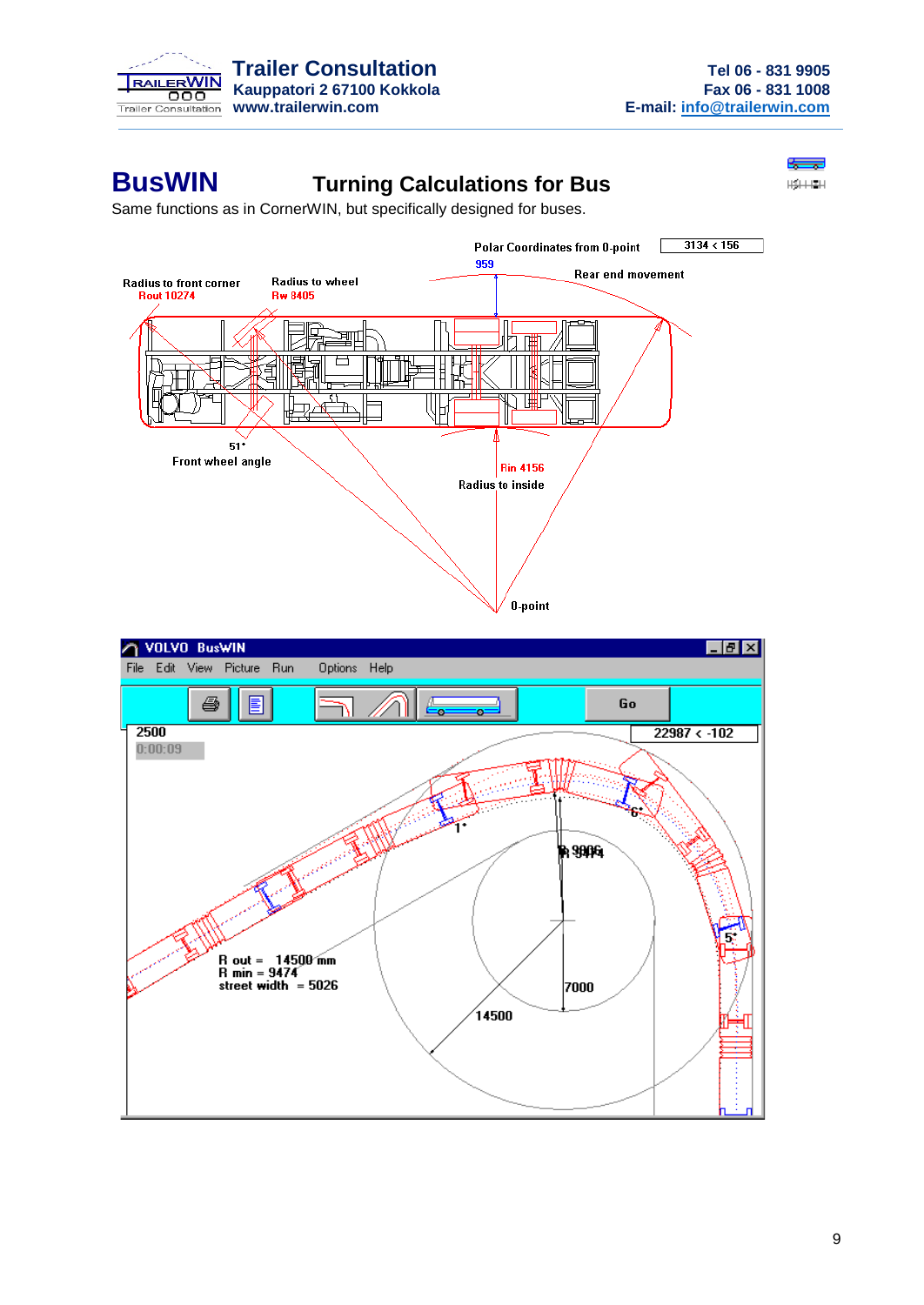

÷  $\frac{111111111}{1}$ 

### **BusWIN Turning Calculations for Bus**

Same functions as in CornerWIN, but specifically designed for buses.



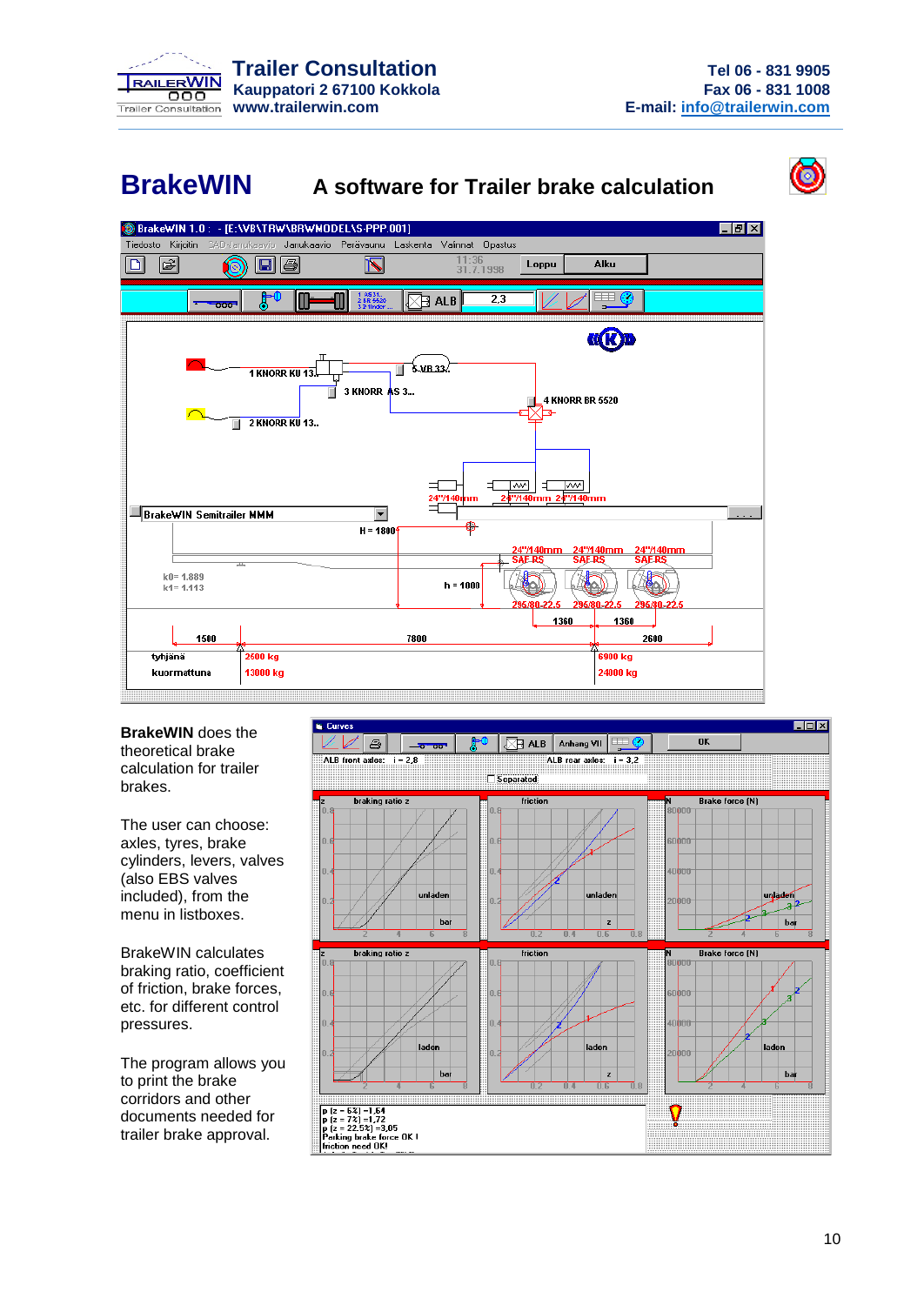

### **BrakeWIN A software for Trailer brake calculation**



BrakeWIN 1.0: - [E:\VB\TRW\BRWMODEL\S-PPP.001]  $\overline{F}$   $\overline{B}$   $\overline{X}$ Tiedosto Kirjoitin Jarrukaavio Perävaunu Laskenta Valinnat Opastus 圖 11:36<br>31.7.1998 Alku 冋 6 E 4 Loppu  $\overline{\mathbb{N}}$ <u>ti</u> 1-AS31.<br>2-BR 552  $\overline{2.3}$  $\nabla$ r alb  $\overline{z}$ **K(K)B** <del>∥</del> \$.vr.33.  $\frac{1}{1}$  KNORR KII 13.  $\overrightarrow{a}$  3 KNORR AS 3... **4 KNORR BR 5520** Ь. 2 KNORR KU 13.  $\overline{M}$ क्रिका Ε **BrakeWIN Semitrailer MMM**  $\overline{\phantom{a}}$  $H = 1800$  $\equiv$ k0=1.889<br>k1=1.113  $h = 1000$ 1360 1360 1500 7800 2600 .<br>6900 kg tvhiänä **2500 kg** kuormattuna 13000 kg 24000 kg

**BrakeWIN** does the theoretical brake calculation for trailer brakes.

The user can choose: axles, tyres, brake cylinders, levers, valves (also EBS valves included), from the menu in listboxes.

BrakeWIN calculates braking ratio, coefficient of friction, brake forces, etc. for different control pressures.

The program allows you to print the brake corridors and other documents needed for trailer brake approval.

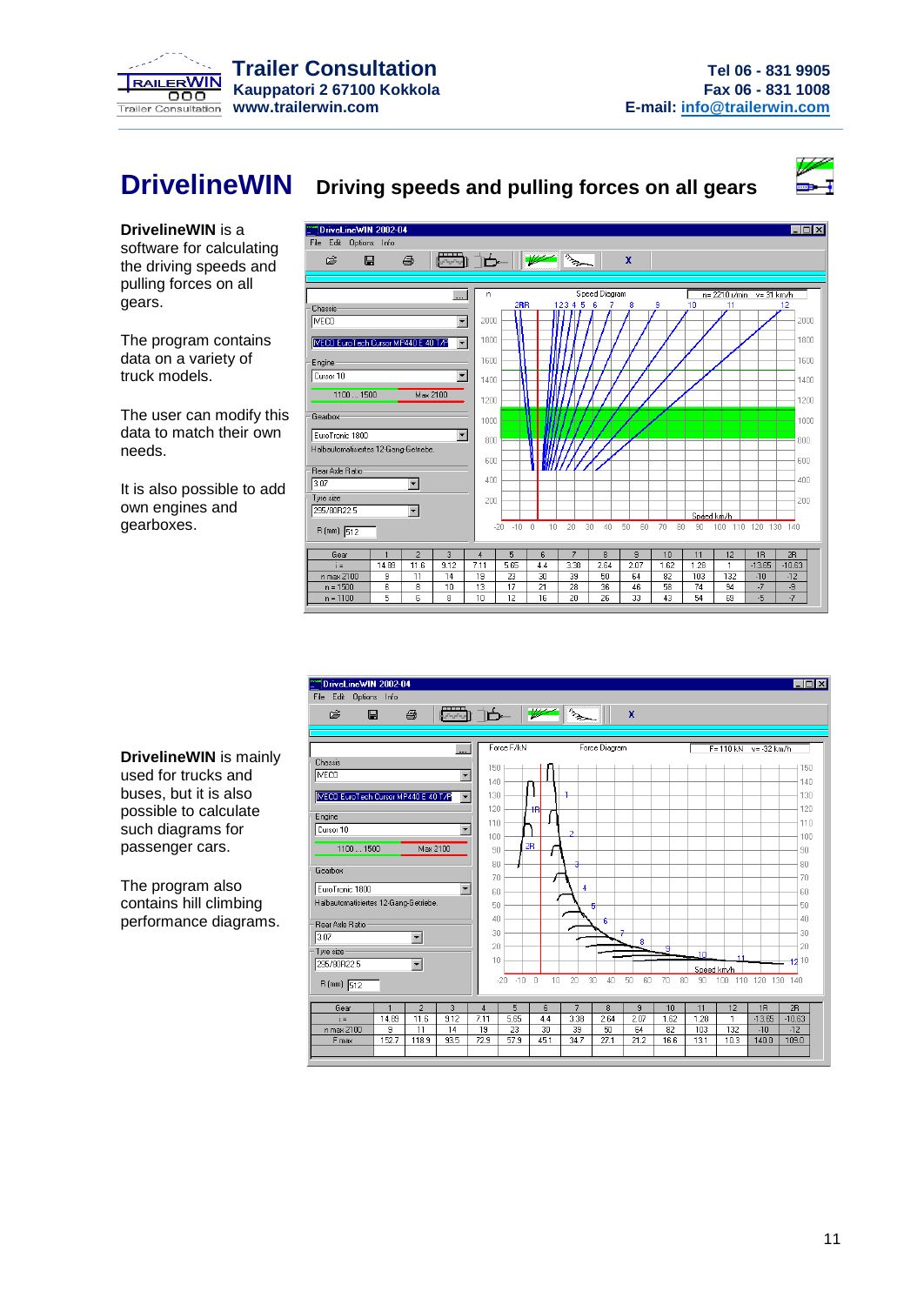

### **DrivelineWIN Driving speeds and pulling forces on all gears**



**DrivelineWIN** is a software for calculating the driving speeds and pulling forces on all gears.

The program contains data on a variety of truck models.

The user can modify this data to match their own needs.

It is also possible to add own engines and gearboxes.





**DrivelineWIN** is mainly used for trucks and buses, but it is also possible to calculate such diagrams for passenger cars.

The program also contains hill climbing performance diagrams.